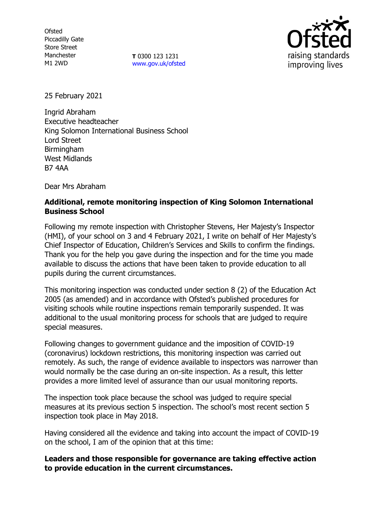**Ofsted** Piccadilly Gate Store Street Manchester M1 2WD

**T** 0300 123 1231 [www.gov.uk/ofsted](http://www.gov.uk/ofsted)



25 February 2021

Ingrid Abraham Executive headteacher King Solomon International Business School Lord Street Birmingham West Midlands B7 4AA

Dear Mrs Abraham

# **Additional, remote monitoring inspection of King Solomon International Business School**

Following my remote inspection with Christopher Stevens, Her Majesty's Inspector (HMI), of your school on 3 and 4 February 2021, I write on behalf of Her Majesty's Chief Inspector of Education, Children's Services and Skills to confirm the findings. Thank you for the help you gave during the inspection and for the time you made available to discuss the actions that have been taken to provide education to all pupils during the current circumstances.

This monitoring inspection was conducted under section 8 (2) of the Education Act 2005 (as amended) and in accordance with Ofsted's published procedures for visiting schools while routine inspections remain temporarily suspended. It was additional to the usual monitoring process for schools that are judged to require special measures.

Following changes to government guidance and the imposition of COVID-19 (coronavirus) lockdown restrictions, this monitoring inspection was carried out remotely. As such, the range of evidence available to inspectors was narrower than would normally be the case during an on-site inspection. As a result, this letter provides a more limited level of assurance than our usual monitoring reports.

The inspection took place because the school was judged to require special measures at its previous section 5 inspection. The school's most recent section 5 inspection took place in May 2018.

Having considered all the evidence and taking into account the impact of COVID-19 on the school, I am of the opinion that at this time:

## **Leaders and those responsible for governance are taking effective action to provide education in the current circumstances.**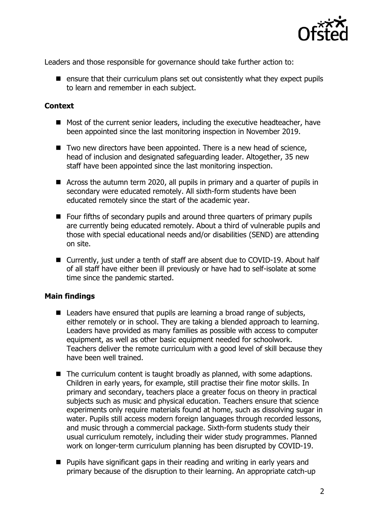

Leaders and those responsible for governance should take further action to:

 $\blacksquare$  ensure that their curriculum plans set out consistently what they expect pupils to learn and remember in each subject.

### **Context**

- Most of the current senior leaders, including the executive headteacher, have been appointed since the last monitoring inspection in November 2019.
- $\blacksquare$  Two new directors have been appointed. There is a new head of science, head of inclusion and designated safeguarding leader. Altogether, 35 new staff have been appointed since the last monitoring inspection.
- Across the autumn term 2020, all pupils in primary and a quarter of pupils in secondary were educated remotely. All sixth-form students have been educated remotely since the start of the academic year.
- Four fifths of secondary pupils and around three quarters of primary pupils are currently being educated remotely. About a third of vulnerable pupils and those with special educational needs and/or disabilities (SEND) are attending on site.
- Currently, just under a tenth of staff are absent due to COVID-19. About half of all staff have either been ill previously or have had to self-isolate at some time since the pandemic started.

## **Main findings**

- Leaders have ensured that pupils are learning a broad range of subjects, either remotely or in school. They are taking a blended approach to learning. Leaders have provided as many families as possible with access to computer equipment, as well as other basic equipment needed for schoolwork. Teachers deliver the remote curriculum with a good level of skill because they have been well trained.
- $\blacksquare$  The curriculum content is taught broadly as planned, with some adaptions. Children in early years, for example, still practise their fine motor skills. In primary and secondary, teachers place a greater focus on theory in practical subjects such as music and physical education. Teachers ensure that science experiments only require materials found at home, such as dissolving sugar in water. Pupils still access modern foreign languages through recorded lessons, and music through a commercial package. Sixth-form students study their usual curriculum remotely, including their wider study programmes. Planned work on longer-term curriculum planning has been disrupted by COVID-19.
- **Pupils have significant gaps in their reading and writing in early years and** primary because of the disruption to their learning. An appropriate catch-up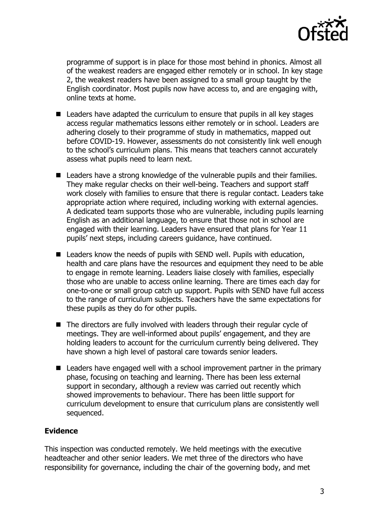

programme of support is in place for those most behind in phonics. Almost all of the weakest readers are engaged either remotely or in school. In key stage 2, the weakest readers have been assigned to a small group taught by the English coordinator. Most pupils now have access to, and are engaging with, online texts at home.

- Leaders have adapted the curriculum to ensure that pupils in all key stages access regular mathematics lessons either remotely or in school. Leaders are adhering closely to their programme of study in mathematics, mapped out before COVID-19. However, assessments do not consistently link well enough to the school's curriculum plans. This means that teachers cannot accurately assess what pupils need to learn next.
- Leaders have a strong knowledge of the vulnerable pupils and their families. They make regular checks on their well-being. Teachers and support staff work closely with families to ensure that there is regular contact. Leaders take appropriate action where required, including working with external agencies. A dedicated team supports those who are vulnerable, including pupils learning English as an additional language, to ensure that those not in school are engaged with their learning. Leaders have ensured that plans for Year 11 pupils' next steps, including careers guidance, have continued.
- $\blacksquare$  Leaders know the needs of pupils with SEND well. Pupils with education, health and care plans have the resources and equipment they need to be able to engage in remote learning. Leaders liaise closely with families, especially those who are unable to access online learning. There are times each day for one-to-one or small group catch up support. Pupils with SEND have full access to the range of curriculum subjects. Teachers have the same expectations for these pupils as they do for other pupils.
- The directors are fully involved with leaders through their regular cycle of meetings. They are well-informed about pupils' engagement, and they are holding leaders to account for the curriculum currently being delivered. They have shown a high level of pastoral care towards senior leaders.
- Leaders have engaged well with a school improvement partner in the primary phase, focusing on teaching and learning. There has been less external support in secondary, although a review was carried out recently which showed improvements to behaviour. There has been little support for curriculum development to ensure that curriculum plans are consistently well sequenced.

## **Evidence**

This inspection was conducted remotely. We held meetings with the executive headteacher and other senior leaders. We met three of the directors who have responsibility for governance, including the chair of the governing body, and met